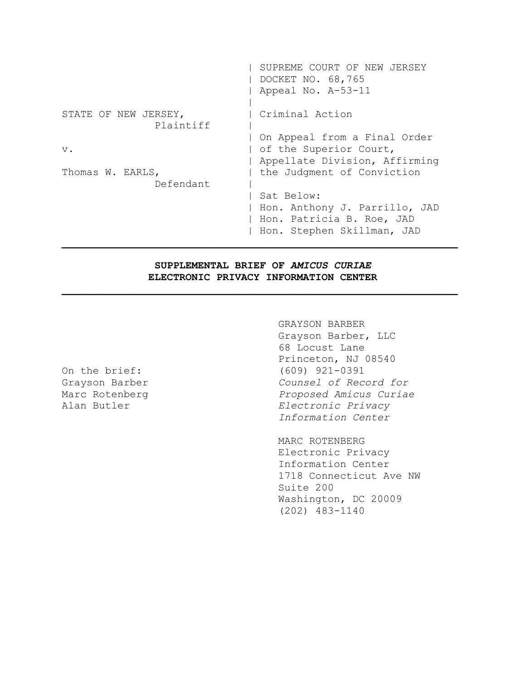|                                   | SUPREME COURT OF NEW JERSEY<br>DOCKET NO. 68,765<br>Appeal No. A-53-11                                 |
|-----------------------------------|--------------------------------------------------------------------------------------------------------|
| STATE OF NEW JERSEY,<br>Plaintiff | Criminal Action                                                                                        |
| $V$ .                             | On Appeal from a Final Order<br>of the Superior Court,<br>Appellate Division, Affirming                |
| Thomas W. EARLS,<br>Defendant     | the Judgment of Conviction                                                                             |
|                                   | Sat Below:<br>Hon. Anthony J. Parrillo, JAD<br>Hon. Patricia B. Roe, JAD<br>Hon. Stephen Skillman, JAD |

# **SUPPLEMENTAL BRIEF OF** *AMICUS CURIAE* **ELECTRONIC PRIVACY INFORMATION CENTER**

**\_\_\_\_\_\_\_\_\_\_\_\_\_\_\_\_\_\_\_\_\_\_\_\_\_\_\_\_\_\_\_\_\_\_\_\_\_\_\_\_\_\_\_\_\_\_\_\_\_\_\_\_\_\_\_\_\_\_\_\_\_\_\_\_**

GRAYSON BARBER Grayson Barber, LLC 68 Locust Lane Princeton, NJ 08540 On the brief: (609) 921-0391 Grayson Barber *Counsel of Record for* Marc Rotenberg *Proposed Amicus Curiae* Alan Butler *Electronic Privacy Information Center*

> MARC ROTENBERG Electronic Privacy Information Center 1718 Connecticut Ave NW Suite 200 Washington, DC 20009 (202) 483-1140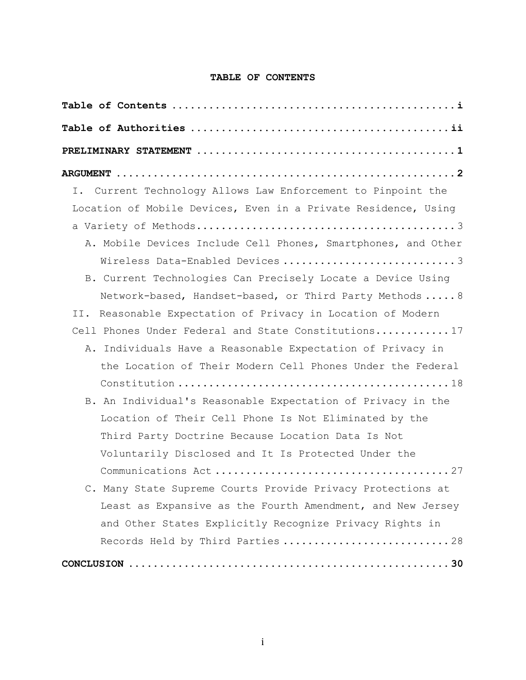## **TABLE OF CONTENTS**

| Current Technology Allows Law Enforcement to Pinpoint the<br>Ι. |
|-----------------------------------------------------------------|
| Location of Mobile Devices, Even in a Private Residence, Using  |
|                                                                 |
| A. Mobile Devices Include Cell Phones, Smartphones, and Other   |
| Wireless Data-Enabled Devices 3                                 |
| B. Current Technologies Can Precisely Locate a Device Using     |
| Network-based, Handset-based, or Third Party Methods  8         |
| Reasonable Expectation of Privacy in Location of Modern<br>II.  |
| Cell Phones Under Federal and State Constitutions17             |
| Individuals Have a Reasonable Expectation of Privacy in<br>Α.   |
| the Location of Their Modern Cell Phones Under the Federal      |
|                                                                 |
| B. An Individual's Reasonable Expectation of Privacy in the     |
| Location of Their Cell Phone Is Not Eliminated by the           |
| Third Party Doctrine Because Location Data Is Not               |
| Voluntarily Disclosed and It Is Protected Under the             |
|                                                                 |
| C. Many State Supreme Courts Provide Privacy Protections at     |
| Least as Expansive as the Fourth Amendment, and New Jersey      |
| and Other States Explicitly Recognize Privacy Rights in         |
| Records Held by Third Parties 28                                |
|                                                                 |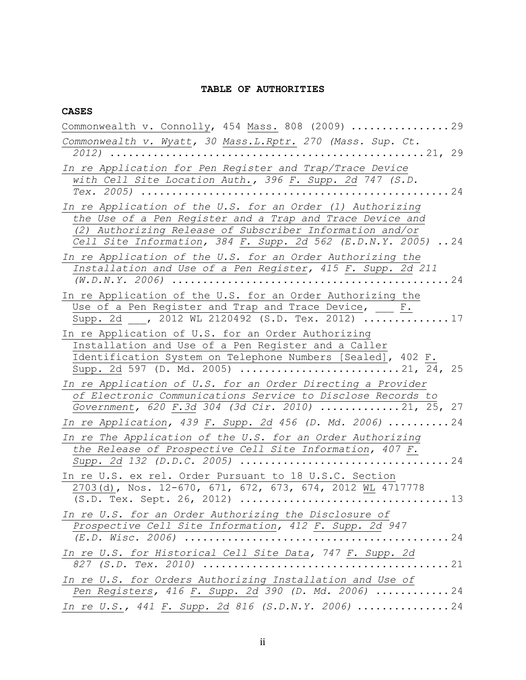## **TABLE OF AUTHORITIES**

#### **CASES**

| Commonwealth v. Connolly, 454 Mass. 808 (2009) $\ldots \ldots \ldots \ldots$                                            |
|-------------------------------------------------------------------------------------------------------------------------|
| Commonwealth v. Wyatt, 30 Mass.L.Rptr. 270 (Mass. Sup. Ct.                                                              |
|                                                                                                                         |
| In re Application for Pen Register and Trap/Trace Device                                                                |
| with Cell Site Location Auth., 396 F. Supp. 2d 747 (S.D.                                                                |
|                                                                                                                         |
| In re Application of the U.S. for an Order (1) Authorizing<br>the Use of a Pen Register and a Trap and Trace Device and |
| (2) Authorizing Release of Subscriber Information and/or                                                                |
| Cell Site Information, 384 F. Supp. 2d 562 (E.D.N.Y. 2005)  24                                                          |
| In re Application of the U.S. for an Order Authorizing the                                                              |
| Installation and Use of a Pen Register, 415 F. Supp. 2d 211                                                             |
|                                                                                                                         |
| In re Application of the U.S. for an Order Authorizing the                                                              |
| Use of a Pen Register and Trap and Trace Device, __ F.<br>Supp. 2d , 2012 WL 2120492 (S.D. Tex. 2012) 17                |
|                                                                                                                         |
| In re Application of U.S. for an Order Authorizing<br>Installation and Use of a Pen Register and a Caller               |
| Identification System on Telephone Numbers [Sealed], 402 F.                                                             |
| Supp. 2d 597 (D. Md. 2005) 21, 24, 25                                                                                   |
| In re Application of U.S. for an Order Directing a Provider                                                             |
| of Electronic Communications Service to Disclose Records to                                                             |
| Government, 620 F.3d 304 (3d Cir. 2010) 21, 25, 27                                                                      |
| In re Application, 439 F. Supp. 2d 456 (D. Md. 2006)  24                                                                |
| In re The Application of the U.S. for an Order Authorizing                                                              |
| the Release of Prospective Cell Site Information, 407 F.                                                                |
|                                                                                                                         |
| In re U.S. ex rel. Order Pursuant to 18 U.S.C. Section<br>2703(d), Nos. 12-670, 671, 672, 673, 674, 2012 WL 4717778     |
|                                                                                                                         |
| In re U.S. for an Order Authorizing the Disclosure of                                                                   |
| Prospective Cell Site Information, 412 F. Supp. 2d 947                                                                  |
| . 24<br>$(E.D. Wisc. 2006)$                                                                                             |
| In re U.S. for Historical Cell Site Data, 747 F. Supp. 2d                                                               |
|                                                                                                                         |
| In re U.S. for Orders Authorizing Installation and Use of                                                               |
| Pen Registers, 416 F. Supp. 2d 390 (D. Md. 2006)  24                                                                    |
| In re U.S., 441 F. Supp. 2d 816 (S.D.N.Y. 2006)  24                                                                     |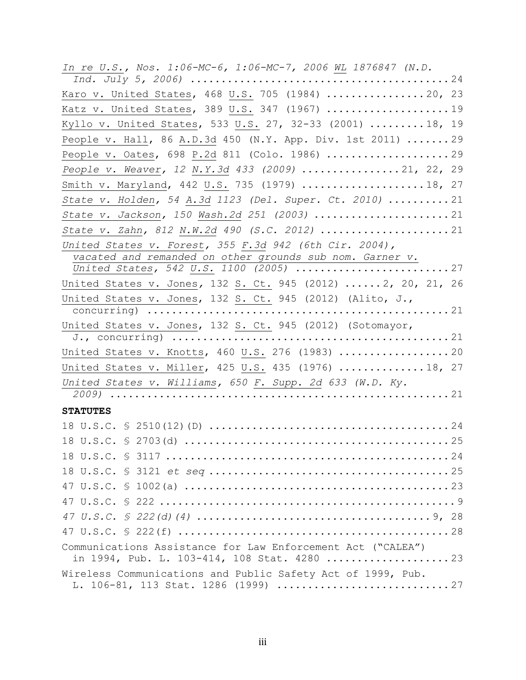| In re U.S., Nos. 1:06-MC-6, 1:06-MC-7, 2006 WL 1876847 (N.D.                                                       |
|--------------------------------------------------------------------------------------------------------------------|
| Karo v. United States, 468 U.S. 705 (1984) 20, 23                                                                  |
| Katz v. United States, 389 U.S. 347 (1967) 19                                                                      |
| Kyllo v. United States, 533 U.S. 27, 32-33 (2001)  18, 19                                                          |
| People v. Hall, 86 A.D.3d 450 (N.Y. App. Div. 1st 2011)  29                                                        |
|                                                                                                                    |
| People v. Weaver, 12 N.Y.3d 433 (2009) 21, 22, 29                                                                  |
| Smith v. Maryland, 442 U.S. 735 (1979) 18, 27                                                                      |
|                                                                                                                    |
| State v. Holden, 54 A.3d 1123 (Del. Super. Ct. 2010)  21                                                           |
| State v. Jackson, 150 Wash.2d 251 (2003)  21                                                                       |
| State v. Zahn, 812 N.W.2d 490 (S.C. 2012) 21                                                                       |
| United States v. Forest, 355 F.3d 942 (6th Cir. 2004),<br>vacated and remanded on other grounds sub nom. Garner v. |
| United States, 542 U.S. 1100 (2005) 27                                                                             |
| United States v. Jones, 132 S. Ct. 945 (2012)  2, 20, 21, 26                                                       |
| United States v. Jones, 132 S. Ct. 945 (2012) (Alito, J.,                                                          |
|                                                                                                                    |
| United States v. Jones, 132 S. Ct. 945 (2012) (Sotomayor,                                                          |
|                                                                                                                    |
| United States v. Knotts, 460 U.S. 276 (1983)  20                                                                   |
| United States v. Miller, 425 U.S. 435 (1976) 18, 27                                                                |
| United States v. Williams, 650 F. Supp. 2d 633 (W.D. Ky.                                                           |
|                                                                                                                    |
| <b>STATUTES</b>                                                                                                    |
|                                                                                                                    |
|                                                                                                                    |
|                                                                                                                    |
|                                                                                                                    |
|                                                                                                                    |
|                                                                                                                    |
|                                                                                                                    |
|                                                                                                                    |
| Communications Assistance for Law Enforcement Act ("CALEA")                                                        |
| in 1994, Pub. L. 103-414, 108 Stat. 4280 23                                                                        |
| Wireless Communications and Public Safety Act of 1999, Pub.<br>L. 106-81, 113 Stat. 1286 (1999) 27                 |
|                                                                                                                    |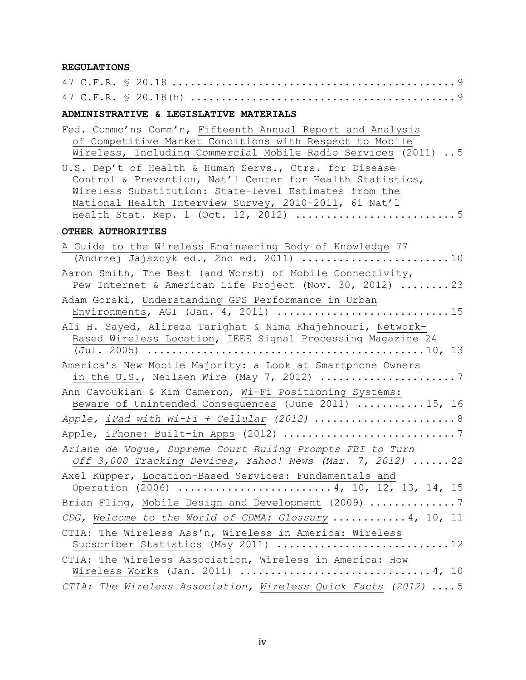## **REGULATIONS**

| ADMINISTRATIVE & LEGISLATIVE MATERIALS                                                                                                                                                                                                |
|---------------------------------------------------------------------------------------------------------------------------------------------------------------------------------------------------------------------------------------|
| Fed. Commc'ns Comm'n, Fifteenth Annual Report and Analysis<br>of Competitive Market Conditions with Respect to Mobile<br>Wireless, Including Commercial Mobile Radio Services (2011)  5                                               |
| U.S. Dep't of Health & Human Servs., Ctrs. for Disease<br>Control & Prevention, Nat'l Center for Health Statistics,<br>Wireless Substitution: State-level Estimates from the<br>National Health Interview Survey, 2010-2011, 61 Nat'l |
| OTHER AUTHORITIES                                                                                                                                                                                                                     |
| A Guide to the Wireless Engineering Body of Knowledge 77                                                                                                                                                                              |
| Aaron Smith, The Best (and Worst) of Mobile Connectivity,<br>Pew Internet & American Life Project (Nov. 30, 2012) 23                                                                                                                  |
| Adam Gorski, Understanding GPS Performance in Urban<br>Environments, AGI (Jan. 4, 2011) 15                                                                                                                                            |
| Ali H. Sayed, Alireza Tarighat & Nima Khajehnouri, Network-<br>Based Wireless Location, IEEE Signal Processing Magazine 24                                                                                                            |
| America's New Mobile Majority: a Look at Smartphone Owners                                                                                                                                                                            |
| Ann Cavoukian & Kim Cameron, Wi-Fi Positioning Systems:<br>Beware of Unintended Consequences (June 2011)  15, 16                                                                                                                      |
| Apple, iPad with Wi-Fi + Cellular (2012)  8                                                                                                                                                                                           |
|                                                                                                                                                                                                                                       |
| Ariane de Vogue, Supreme Court Ruling Prompts FBI to Turn<br>Off $3,000$ Tracking Devices, Yahoo! News (Mar. 7, 2012)  22                                                                                                             |
| Axel Küpper, Location-Based Services: Fundamentals and<br>Operation (2006) 4, 10, 12, 13, 14, 15                                                                                                                                      |
| Brian Fling, Mobile Design and Development (2009) 7                                                                                                                                                                                   |
| CDG, Welcome to the World of CDMA: Glossary  4, 10, 11                                                                                                                                                                                |
| CTIA: The Wireless Ass'n, Wireless in America: Wireless<br>Subscriber Statistics (May 2011)  12                                                                                                                                       |
| CTIA: The Wireless Association, Wireless in America: How                                                                                                                                                                              |
| CTIA: The Wireless Association, Wireless Quick Facts (2012)  5                                                                                                                                                                        |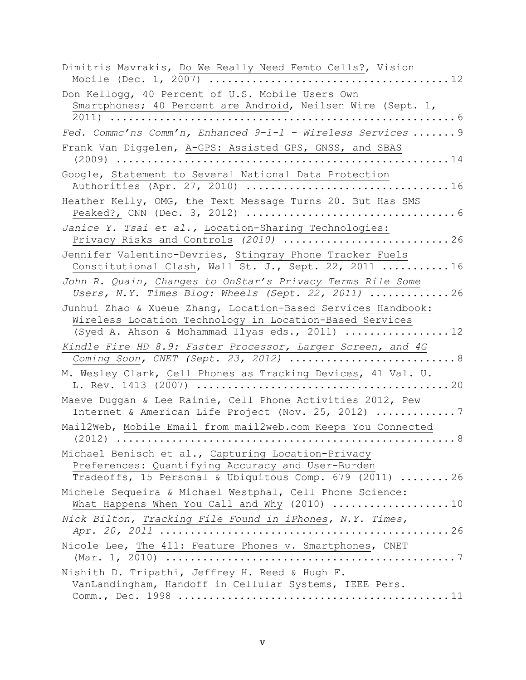| Dimitris Mavrakis, Do We Really Need Femto Cells?, Vision                                                                                                                 |
|---------------------------------------------------------------------------------------------------------------------------------------------------------------------------|
| Don Kellogg, 40 Percent of U.S. Mobile Users Own<br>Smartphones; 40 Percent are Android, Neilsen Wire (Sept. 1,<br>2011)<br>$\ldots 6$                                    |
| Fed. Commc'ns Comm'n, Enhanced $9-1-1$ - Wireless Services  9                                                                                                             |
| Frank Van Diggelen, A-GPS: Assisted GPS, GNSS, and SBAS<br>. 14                                                                                                           |
| Google, Statement to Several National Data Protection                                                                                                                     |
| Heather Kelly, OMG, the Text Message Turns 20. But Has SMS                                                                                                                |
| Janice Y. Tsai et al., Location-Sharing Technologies:<br>Privacy Risks and Controls (2010)<br>$\ldots$ . 26                                                               |
| Jennifer Valentino-Devries, Stingray Phone Tracker Fuels<br>Constitutional Clash, Wall St. J., Sept. 22, 2011  16                                                         |
| John R. Quain, Changes to OnStar's Privacy Terms Rile Some<br>Users, N.Y. Times Blog: Wheels (Sept. 22, 2011) $\ldots \ldots \ldots \ldots$ 26                            |
| Junhui Zhao & Xueue Zhang, Location-Based Services Handbook:<br>Wireless Location Technology in Location-Based Services<br>(Syed A. Ahson & Mohammad Ilyas eds., 2011) 12 |
| Kindle Fire HD 8.9: Faster Processor, Larger Screen, and 4G<br>Coming Soon, CNET (Sept. 23, 2012) $\ldots \ldots \ldots \ldots \ldots \ldots \ldots \ldots \ldots$        |
| M. Wesley Clark, Cell Phones as Tracking Devices, 41 Val. U.                                                                                                              |
| Maeve Duggan & Lee Rainie, Cell Phone Activities 2012, Pew<br>Internet & American Life Project (Nov. 25, 2012) 7                                                          |
| Mail2Web, Mobile Email from mail2web.com Keeps You Connected                                                                                                              |
| Michael Benisch et al., Capturing Location-Privacy<br>Preferences: Quantifying Accuracy and User-Burden<br>Tradeoffs, 15 Personal & Ubiquitous Comp. 679 (2011) 26        |
| Michele Sequeira & Michael Westphal, Cell Phone Science:<br>What Happens When You Call and Why (2010) 10                                                                  |
| Nick Bilton, Tracking File Found in iPhones, N.Y. Times,                                                                                                                  |
| Nicole Lee, The 411: Feature Phones v. Smartphones, CNET                                                                                                                  |
| Nishith D. Tripathi, Jeffrey H. Reed & Hugh F.<br>VanLandingham, Handoff in Cellular Systems, IEEE Pers.                                                                  |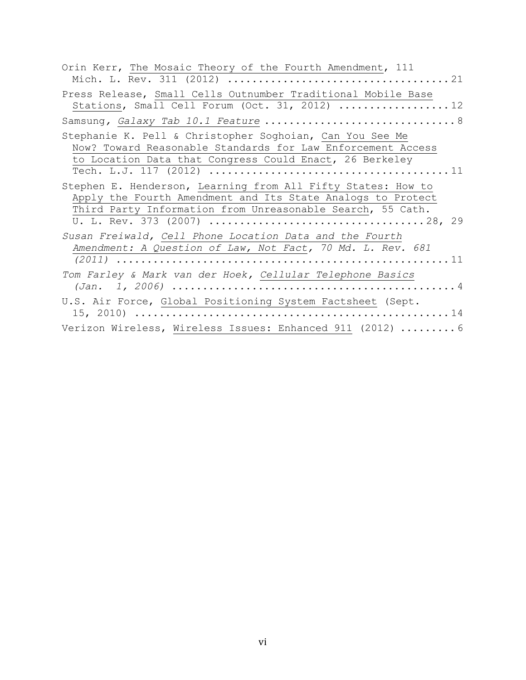| Orin Kerr, The Mosaic Theory of the Fourth Amendment, 111                                                                                                                                 |
|-------------------------------------------------------------------------------------------------------------------------------------------------------------------------------------------|
| Press Release, Small Cells Outnumber Traditional Mobile Base<br>Stations, Small Cell Forum (Oct. 31, 2012) 12                                                                             |
|                                                                                                                                                                                           |
| Stephanie K. Pell & Christopher Soghoian, Can You See Me<br>Now? Toward Reasonable Standards for Law Enforcement Access<br>to Location Data that Congress Could Enact, 26 Berkeley        |
| Stephen E. Henderson, Learning from All Fifty States: How to<br>Apply the Fourth Amendment and Its State Analogs to Protect<br>Third Party Information from Unreasonable Search, 55 Cath. |
| Susan Freiwald, Cell Phone Location Data and the Fourth<br>Amendment: A Question of Law, Not Fact, 70 Md. L. Rev. 681                                                                     |
| Tom Farley & Mark van der Hoek, Cellular Telephone Basics                                                                                                                                 |
| U.S. Air Force, Global Positioning System Factsheet (Sept.                                                                                                                                |
| Verizon Wireless, Wireless Issues: Enhanced 911 (2012)  6                                                                                                                                 |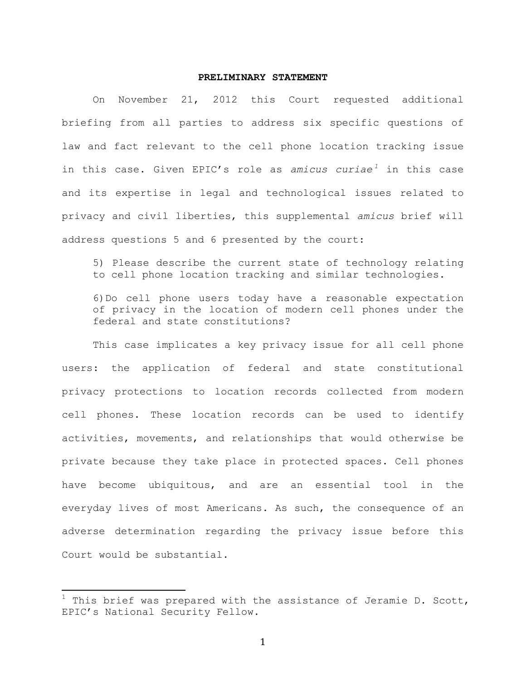#### **PRELIMINARY STATEMENT**

On November 21, 2012 this Court requested additional briefing from all parties to address six specific questions of law and fact relevant to the cell phone location tracking issue in this case. Given EPIC's role as *amicus curiae*<sup>1</sup> in this case and its expertise in legal and technological issues related to privacy and civil liberties, this supplemental *amicus* brief will address questions 5 and 6 presented by the court:

5) Please describe the current state of technology relating to cell phone location tracking and similar technologies.

6)Do cell phone users today have a reasonable expectation of privacy in the location of modern cell phones under the federal and state constitutions?

This case implicates a key privacy issue for all cell phone users: the application of federal and state constitutional privacy protections to location records collected from modern cell phones. These location records can be used to identify activities, movements, and relationships that would otherwise be private because they take place in protected spaces. Cell phones have become ubiquitous, and are an essential tool in the everyday lives of most Americans. As such, the consequence of an adverse determination regarding the privacy issue before this Court would be substantial.

 $1$  This brief was prepared with the assistance of Jeramie D. Scott, EPIC's National Security Fellow.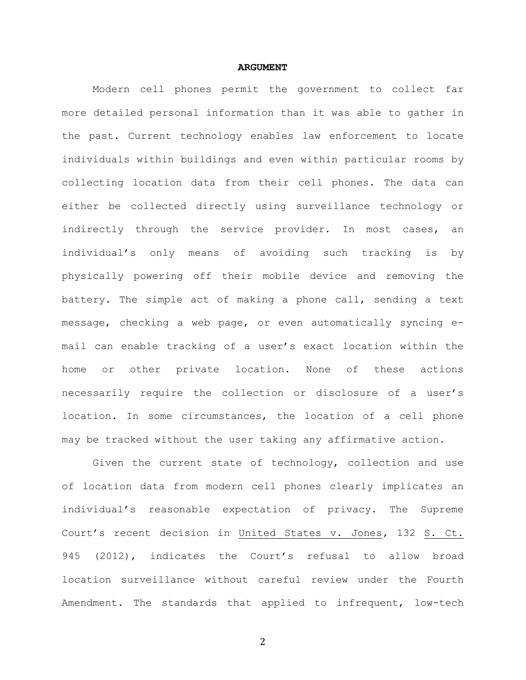#### **ARGUMENT**

Modern cell phones permit the government to collect far more detailed personal information than it was able to gather in the past. Current technology enables law enforcement to locate individuals within buildings and even within particular rooms by collecting location data from their cell phones. The data can either be collected directly using surveillance technology or indirectly through the service provider. In most cases, an individual's only means of avoiding such tracking is by physically powering off their mobile device and removing the battery. The simple act of making a phone call, sending a text message, checking a web page, or even automatically syncing email can enable tracking of a user's exact location within the home or other private location. None of these actions necessarily require the collection or disclosure of a user's location. In some circumstances, the location of a cell phone may be tracked without the user taking any affirmative action.

Given the current state of technology, collection and use of location data from modern cell phones clearly implicates an individual's reasonable expectation of privacy. The Supreme Court's recent decision in United States v. Jones*,* 132 S. Ct. 945 (2012), indicates the Court's refusal to allow broad location surveillance without careful review under the Fourth Amendment. The standards that applied to infrequent, low-tech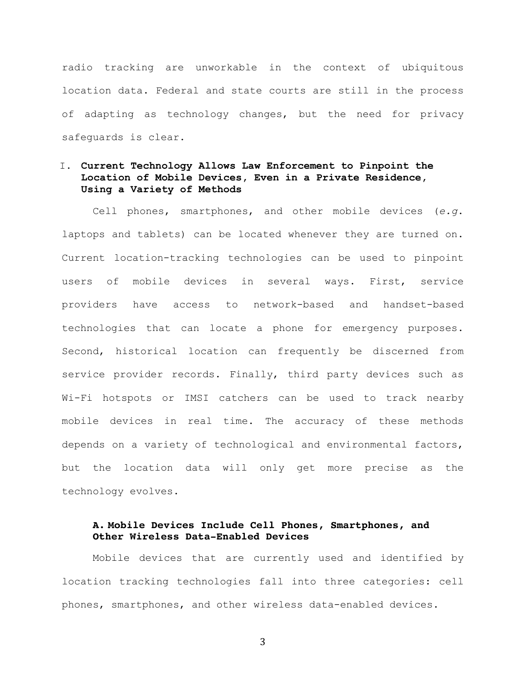radio tracking are unworkable in the context of ubiquitous location data. Federal and state courts are still in the process of adapting as technology changes, but the need for privacy safeguards is clear.

# I. **Current Technology Allows Law Enforcement to Pinpoint the Location of Mobile Devices, Even in a Private Residence, Using a Variety of Methods**

Cell phones, smartphones, and other mobile devices (*e.g*. laptops and tablets) can be located whenever they are turned on. Current location-tracking technologies can be used to pinpoint users of mobile devices in several ways. First, service providers have access to network-based and handset-based technologies that can locate a phone for emergency purposes. Second, historical location can frequently be discerned from service provider records. Finally, third party devices such as Wi-Fi hotspots or IMSI catchers can be used to track nearby mobile devices in real time. The accuracy of these methods depends on a variety of technological and environmental factors, but the location data will only get more precise as the technology evolves.

## **A. Mobile Devices Include Cell Phones, Smartphones, and Other Wireless Data-Enabled Devices**

Mobile devices that are currently used and identified by location tracking technologies fall into three categories: cell phones, smartphones, and other wireless data-enabled devices.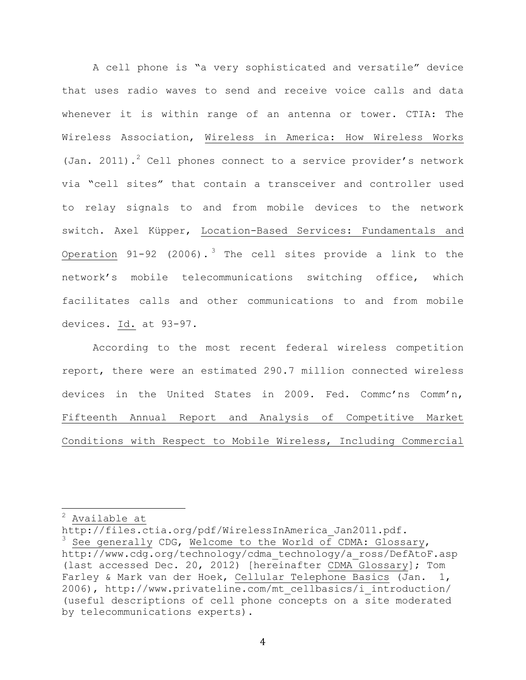A cell phone is "a very sophisticated and versatile" device that uses radio waves to send and receive voice calls and data whenever it is within range of an antenna or tower. CTIA: The Wireless Association, Wireless in America: How Wireless Works (Jan. 2011).<sup>2</sup> Cell phones connect to a service provider's network via "cell sites" that contain a transceiver and controller used to relay signals to and from mobile devices to the network switch. Axel Küpper, Location-Based Services: Fundamentals and Operation  $91-92$  (2006).<sup>3</sup> The cell sites provide a link to the network's mobile telecommunications switching office, which facilitates calls and other communications to and from mobile devices. Id. at 93-97.

According to the most recent federal wireless competition report, there were an estimated 290.7 million connected wireless devices in the United States in 2009. Fed. Commc'ns Comm'n, Fifteenth Annual Report and Analysis of Competitive Market Conditions with Respect to Mobile Wireless, Including Commercial

 $<sup>2</sup>$  Available at</sup>

http://files.ctia.org/pdf/WirelessInAmerica Jan2011.pdf.

See generally CDG, Welcome to the World of CDMA: Glossary, http://www.cdg.org/technology/cdma\_technology/a\_ross/DefAtoF.asp (last accessed Dec. 20, 2012) [hereinafter CDMA Glossary]; Tom Farley & Mark van der Hoek, Cellular Telephone Basics (Jan. 1, 2006), http://www.privateline.com/mt\_cellbasics/i\_introduction/ (useful descriptions of cell phone concepts on a site moderated by telecommunications experts).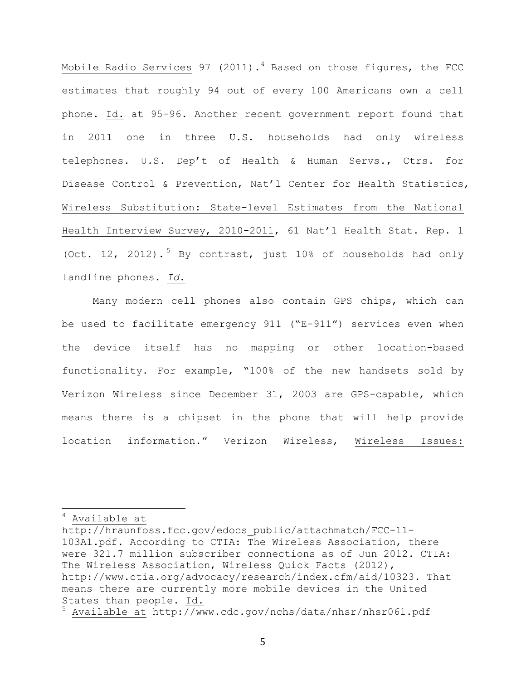Mobile Radio Services 97 (2011).<sup>4</sup> Based on those figures, the FCC estimates that roughly 94 out of every 100 Americans own a cell phone. Id. at 95-96. Another recent government report found that in 2011 one in three U.S. households had only wireless telephones. U.S. Dep't of Health & Human Servs., Ctrs. for Disease Control & Prevention, Nat'l Center for Health Statistics, Wireless Substitution: State-level Estimates from the National Health Interview Survey, 2010-2011, 61 Nat'l Health Stat. Rep. 1 (Oct. 12, 2012).<sup>5</sup> By contrast, just 10% of households had only landline phones. *Id*.

Many modern cell phones also contain GPS chips, which can be used to facilitate emergency 911 ("E-911") services even when the device itself has no mapping or other location-based functionality. For example, "100% of the new handsets sold by Verizon Wireless since December 31, 2003 are GPS-capable, which means there is a chipset in the phone that will help provide location information." Verizon Wireless, Wireless Issues:

 $<sup>4</sup>$  Available at</sup>

http://hraunfoss.fcc.gov/edocs\_public/attachmatch/FCC-11- 103A1.pdf. According to CTIA: The Wireless Association, there were 321.7 million subscriber connections as of Jun 2012. CTIA: The Wireless Association, Wireless Quick Facts (2012), http://www.ctia.org/advocacy/research/index.cfm/aid/10323. That means there are currently more mobile devices in the United States than people. Id.

<sup>5</sup> Available at http://www.cdc.gov/nchs/data/nhsr/nhsr061.pdf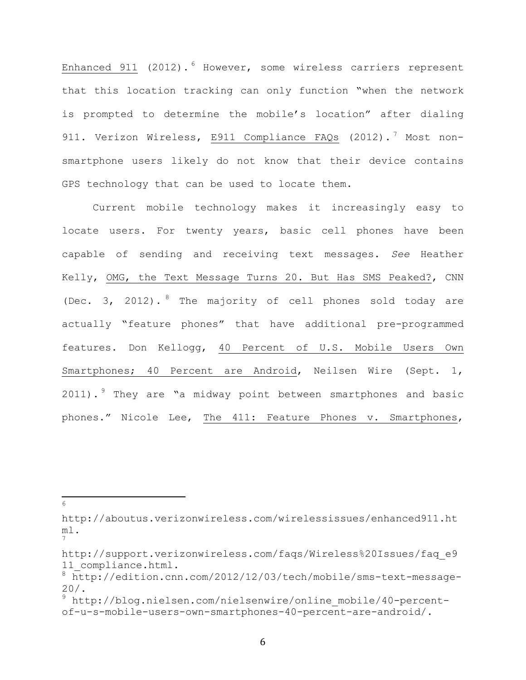Enhanced 911 (2012).<sup>6</sup> However, some wireless carriers represent that this location tracking can only function "when the network is prompted to determine the mobile's location" after dialing 911. Verizon Wireless, E911 Compliance FAQs (2012).<sup>7</sup> Most nonsmartphone users likely do not know that their device contains GPS technology that can be used to locate them.

Current mobile technology makes it increasingly easy to locate users. For twenty years, basic cell phones have been capable of sending and receiving text messages. *See* Heather Kelly, OMG, the Text Message Turns 20. But Has SMS Peaked?, CNN (Dec. 3, 2012). <sup>8</sup> The majority of cell phones sold today are actually "feature phones" that have additional pre-programmed features. Don Kellogg, 40 Percent of U.S. Mobile Users Own Smartphones; 40 Percent are Android, Neilsen Wire (Sept. 1, 2011). <sup>9</sup> They are "a midway point between smartphones and basic phones." Nicole Lee, The 411: Feature Phones v. Smartphones,

http://aboutus.verizonwireless.com/wirelessissues/enhanced911.ht ml. 7

!!!!!!!!!!!!!!!!!!!!!!!!!!!!!!!!!!!!!!!!!!!!!!!!!!!!!!! <sup>6</sup>

http://support.verizonwireless.com/faqs/Wireless%20Issues/faq\_e9 11 compliance.html.

<sup>8</sup> http://edition.cnn.com/2012/12/03/tech/mobile/sms-text-message-20/.

<sup>9</sup> http://blog.nielsen.com/nielsenwire/online\_mobile/40-percentof-u-s-mobile-users-own-smartphones-40-percent-are-android/.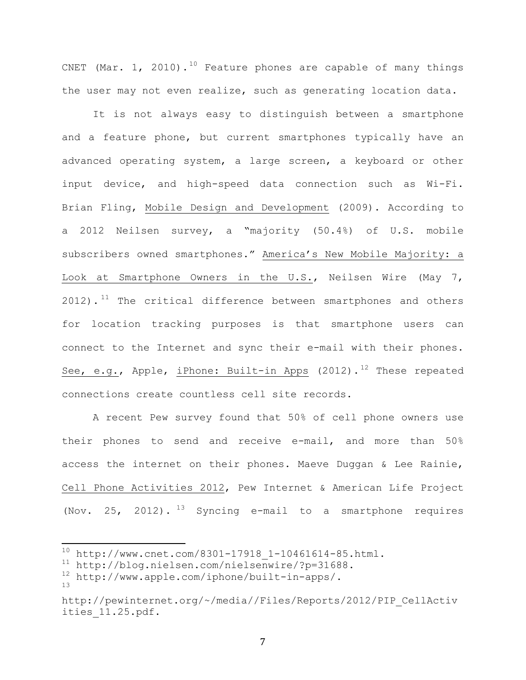CNET (Mar. 1, 2010).<sup>10</sup> Feature phones are capable of many things the user may not even realize, such as generating location data.

It is not always easy to distinguish between a smartphone and a feature phone, but current smartphones typically have an advanced operating system, a large screen, a keyboard or other input device, and high-speed data connection such as Wi-Fi. Brian Fling, Mobile Design and Development (2009). According to a 2012 Neilsen survey, a "majority (50.4%) of U.S. mobile subscribers owned smartphones." America's New Mobile Majority: a Look at Smartphone Owners in the U.S., Neilsen Wire (May 7,  $2012)$ .<sup>11</sup> The critical difference between smartphones and others for location tracking purposes is that smartphone users can connect to the Internet and sync their e-mail with their phones. See, e.g., Apple, iPhone: Built-in Apps  $(2012)$ .<sup>12</sup> These repeated connections create countless cell site records.

A recent Pew survey found that 50% of cell phone owners use their phones to send and receive e-mail, and more than 50% access the internet on their phones. Maeve Duggan & Lee Rainie, Cell Phone Activities 2012, Pew Internet & American Life Project (Nov. 25, 2012).  $^{13}$  Syncing e-mail to a smartphone requires

 $10$  http://www.cnet.com/8301-17918\_1-10461614-85.html.

<sup>&</sup>lt;sup>11</sup> http://blog.nielsen.com/nielsenwire/?p=31688.<br><sup>12</sup> http://www.apple.com/iphone/built-in-apps/

<sup>12</sup> http://www.apple.com/iphone/built-in-apps/.

<sup>13</sup>

http://pewinternet.org/~/media//Files/Reports/2012/PIP\_CellActiv ities\_11.25.pdf.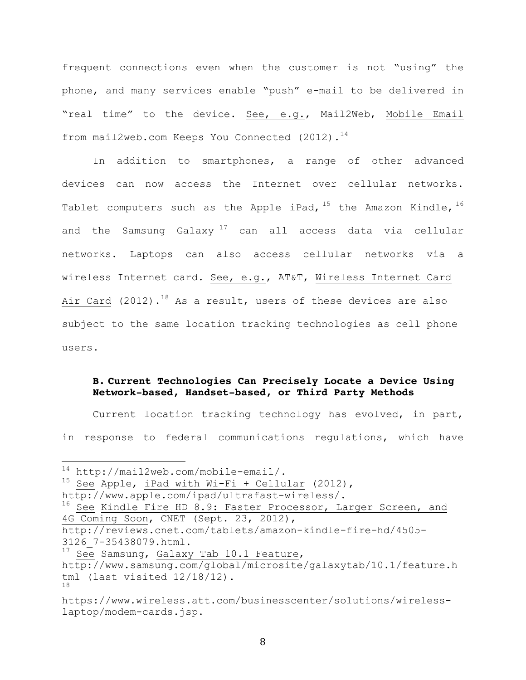frequent connections even when the customer is not "using" the phone, and many services enable "push" e-mail to be delivered in "real time" to the device. See, e.g., Mail2Web, Mobile Email from mail2web.com Keeps You Connected  $(2012)$ .<sup>14</sup>

In addition to smartphones, a range of other advanced devices can now access the Internet over cellular networks. Tablet computers such as the Apple iPad,  $15$  the Amazon Kindle,  $16$ and the Samsung Galaxy  $17$  can all access data via cellular networks. Laptops can also access cellular networks via a wireless Internet card. See, e.g., AT&T, Wireless Internet Card Air Card (2012).<sup>18</sup> As a result, users of these devices are also subject to the same location tracking technologies as cell phone users.

## **B. Current Technologies Can Precisely Locate a Device Using Network-based, Handset-based, or Third Party Methods**

Current location tracking technology has evolved, in part, in response to federal communications regulations, which have

<sup>15</sup> See Apple, iPad with Wi-Fi + Cellular (2012),

 $14$  http://mail2web.com/mobile-email/.

http://www.apple.com/ipad/ultrafast-wireless/.

<sup>&</sup>lt;sup>16</sup> See Kindle Fire HD 8.9: Faster Processor, Larger Screen, and 4G Coming Soon, CNET (Sept. 23, 2012),

http://reviews.cnet.com/tablets/amazon-kindle-fire-hd/4505- 3126\_7-35438079.html.

<sup>&</sup>lt;sup>17</sup> See Samsung, Galaxy Tab 10.1 Feature, http://www.samsung.com/global/microsite/galaxytab/10.1/feature.h tml (last visited 12/18/12). 18

https://www.wireless.att.com/businesscenter/solutions/wirelesslaptop/modem-cards.jsp.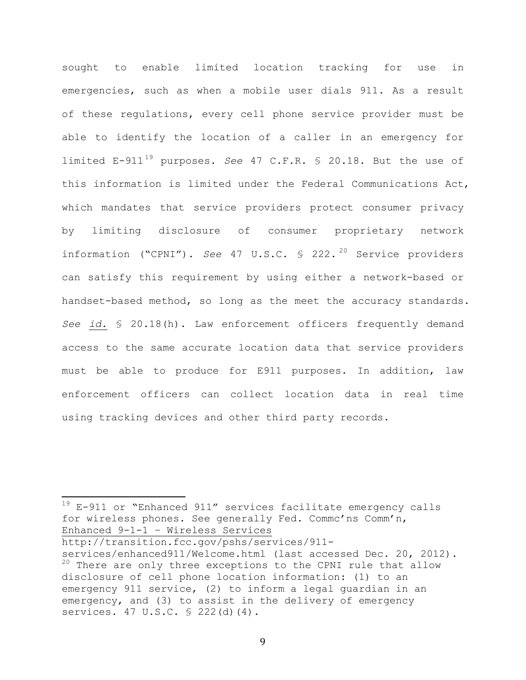sought to enable limited location tracking for use in emergencies, such as when a mobile user dials 911. As a result of these regulations, every cell phone service provider must be able to identify the location of a caller in an emergency for limited  $E-911^{19}$  purposes. *See* 47 C.F.R. § 20.18. But the use of this information is limited under the Federal Communications Act, which mandates that service providers protect consumer privacy by limiting disclosure of consumer proprietary network information ("CPNI"). *See* 47 U.S.C. § 222. <sup>20</sup> Service providers can satisfy this requirement by using either a network-based or handset-based method, so long as the meet the accuracy standards. *See id.* § 20.18(h). Law enforcement officers frequently demand access to the same accurate location data that service providers must be able to produce for E911 purposes. In addition, law enforcement officers can collect location data in real time using tracking devices and other third party records.

 $19$  E-911 or "Enhanced 911" services facilitate emergency calls for wireless phones. See generally Fed. Commc'ns Comm'n, Enhanced 9-1-1 – Wireless Services

http://transition.fcc.gov/pshs/services/911-

services/enhanced911/Welcome.html (last accessed Dec. 20, 2012).  $20$  There are only three exceptions to the CPNI rule that allow disclosure of cell phone location information: (1) to an emergency 911 service, (2) to inform a legal guardian in an emergency, and (3) to assist in the delivery of emergency services. 47 U.S.C. § 222(d)(4).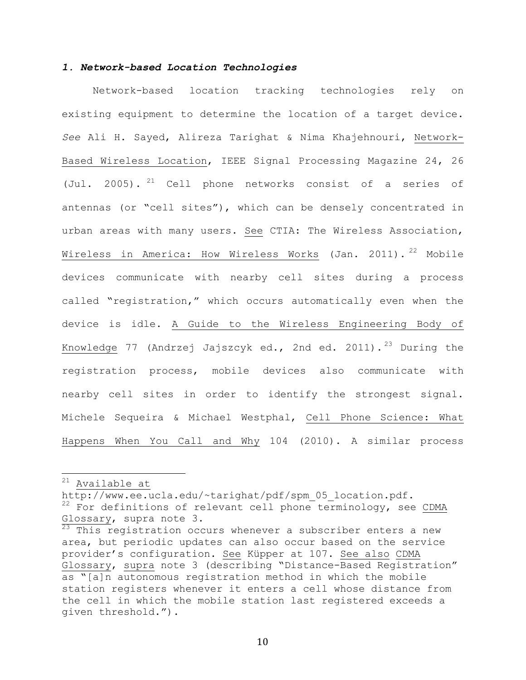## *1. Network-based Location Technologies*

Network-based location tracking technologies rely on existing equipment to determine the location of a target device. *See* Ali H. Sayed, Alireza Tarighat & Nima Khajehnouri, Network-Based Wireless Location, IEEE Signal Processing Magazine 24, 26 (Jul. 2005). <sup>21</sup> Cell phone networks consist of a series of antennas (or "cell sites"), which can be densely concentrated in urban areas with many users. See CTIA: The Wireless Association, Wireless in America: How Wireless Works (Jan. 2011). <sup>22</sup> Mobile devices communicate with nearby cell sites during a process called "registration," which occurs automatically even when the device is idle. A Guide to the Wireless Engineering Body of Knowledge 77 (Andrzej Jajszcyk ed., 2nd ed. 2011).<sup>23</sup> During the registration process, mobile devices also communicate with nearby cell sites in order to identify the strongest signal. Michele Sequeira & Michael Westphal, Cell Phone Science: What Happens When You Call and Why 104 (2010). A similar process

 $21$  Available at

http://www.ee.ucla.edu/~tarighat/pdf/spm\_05\_location.pdf.  $22$  For definitions of relevant cell phone terminology, see CDMA Glossary, supra note 3.<br><sup>23</sup> This reqistration occurs whenever a subscriber enters a new

area, but periodic updates can also occur based on the service provider's configuration. See Küpper at 107. See also CDMA Glossary, supra note 3 (describing "Distance-Based Registration" as "[a]n autonomous registration method in which the mobile station registers whenever it enters a cell whose distance from the cell in which the mobile station last registered exceeds a given threshold.").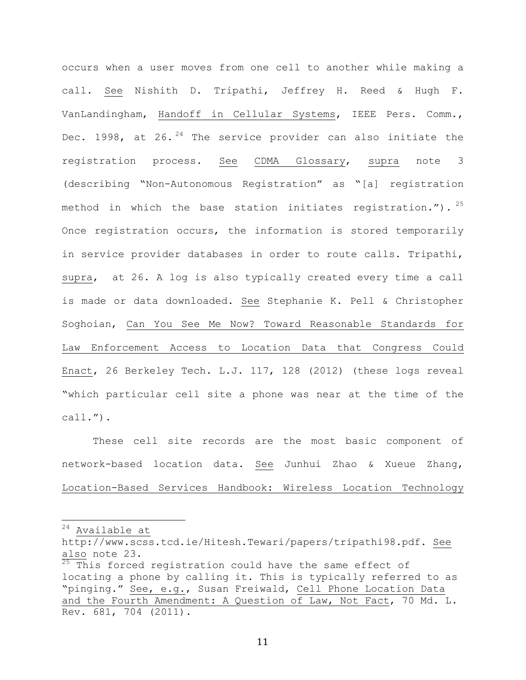occurs when a user moves from one cell to another while making a call. See Nishith D. Tripathi, Jeffrey H. Reed & Hugh F. VanLandingham, Handoff in Cellular Systems, IEEE Pers. Comm., Dec. 1998, at  $26.$   $24$  The service provider can also initiate the registration process. See CDMA Glossary, supra note 3 (describing "Non-Autonomous Registration" as "[a] registration method in which the base station initiates registration.").  $25$ Once registration occurs, the information is stored temporarily in service provider databases in order to route calls. Tripathi, supra, at 26. A log is also typically created every time a call is made or data downloaded. See Stephanie K. Pell & Christopher Soghoian, Can You See Me Now? Toward Reasonable Standards for Law Enforcement Access to Location Data that Congress Could Enact, 26 Berkeley Tech. L.J. 117, 128 (2012) (these logs reveal "which particular cell site a phone was near at the time of the call.").

These cell site records are the most basic component of network-based location data. See Junhui Zhao & Xueue Zhang, Location-Based Services Handbook: Wireless Location Technology

 $24$  Available at

http://www.scss.tcd.ie/Hitesh.Tewari/papers/tripathi98.pdf. See also note 23.

 $\overline{25}$  This forced registration could have the same effect of locating a phone by calling it. This is typically referred to as "pinging." See, e.g., Susan Freiwald, Cell Phone Location Data and the Fourth Amendment: A Question of Law, Not Fact, 70 Md. L. Rev. 681, 704 (2011).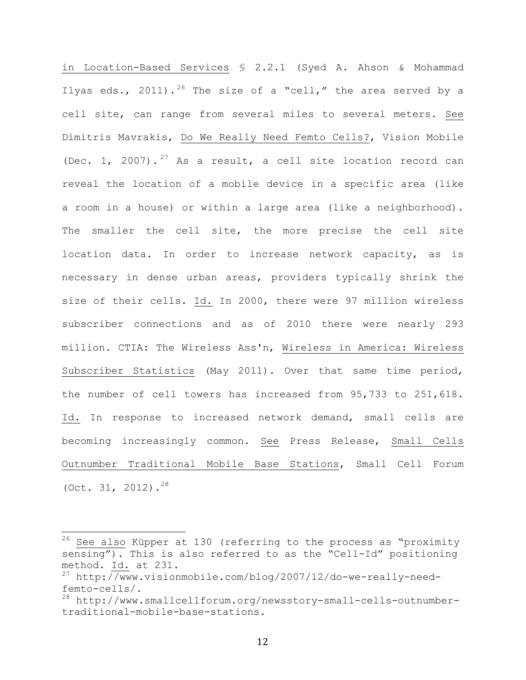in Location-Based Services § 2.2.1 (Syed A. Ahson & Mohammad Ilyas eds., 2011).<sup>26</sup> The size of a "cell," the area served by a cell site, can range from several miles to several meters. See Dimitris Mavrakis, Do We Really Need Femto Cells?, Vision Mobile (Dec. 1, 2007).<sup>27</sup> As a result, a cell site location record can reveal the location of a mobile device in a specific area (like a room in a house) or within a large area (like a neighborhood). The smaller the cell site, the more precise the cell site location data. In order to increase network capacity, as is necessary in dense urban areas, providers typically shrink the size of their cells. Id. In 2000, there were 97 million wireless subscriber connections and as of 2010 there were nearly 293 million. CTIA: The Wireless Ass'n, Wireless in America: Wireless Subscriber Statistics (May 2011). Over that same time period, the number of cell towers has increased from 95,733 to 251,618. Id. In response to increased network demand, small cells are becoming increasingly common. See Press Release, Small Cells Outnumber Traditional Mobile Base Stations, Small Cell Forum (Oct. 31, 2012).<sup>28</sup>

 $26$  See also Küpper at 130 (referring to the process as "proximity sensing"). This is also referred to as the "Cell-Id" positioning method. <u>Id.</u> at 231.<br><sup>27</sup> http://www.visionmobile.com/blog/2007/12/do-we-really-need-

femto-cells/.

<sup>28</sup> http://www.smallcellforum.org/newsstory-small-cells-outnumbertraditional-mobile-base-stations.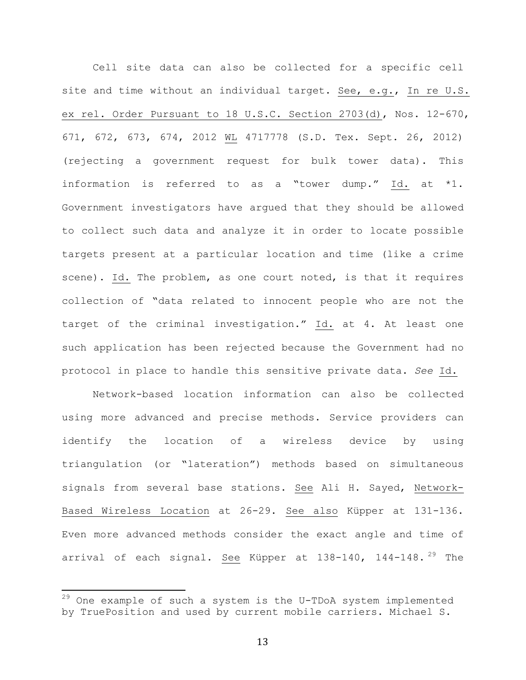Cell site data can also be collected for a specific cell site and time without an individual target. See, e.g., In re U.S. ex rel. Order Pursuant to 18 U.S.C. Section 2703(d), Nos. 12-670, 671, 672, 673, 674, 2012 WL 4717778 (S.D. Tex. Sept. 26, 2012) (rejecting a government request for bulk tower data). This information is referred to as a "tower dump." Id. at \*1. Government investigators have argued that they should be allowed to collect such data and analyze it in order to locate possible targets present at a particular location and time (like a crime scene). Id. The problem, as one court noted, is that it requires collection of "data related to innocent people who are not the target of the criminal investigation." Id. at 4. At least one such application has been rejected because the Government had no protocol in place to handle this sensitive private data. *See* Id.

Network-based location information can also be collected using more advanced and precise methods. Service providers can identify the location of a wireless device by using triangulation (or "lateration") methods based on simultaneous signals from several base stations. See Ali H. Sayed, Network-Based Wireless Location at 26-29. See also Küpper at 131-136. Even more advanced methods consider the exact angle and time of arrival of each signal. See Küpper at 138-140, 144-148.<sup>29</sup> The

 $29$  One example of such a system is the U-TDoA system implemented by TruePosition and used by current mobile carriers. Michael S.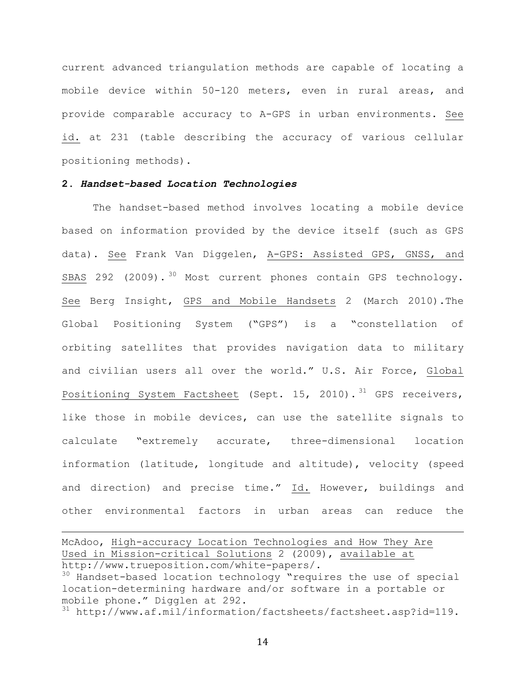current advanced triangulation methods are capable of locating a mobile device within 50-120 meters, even in rural areas, and provide comparable accuracy to A-GPS in urban environments. See id. at 231 (table describing the accuracy of various cellular positioning methods).

#### **2.** *Handset-based Location Technologies*

The handset-based method involves locating a mobile device based on information provided by the device itself (such as GPS data). See Frank Van Diggelen, A-GPS: Assisted GPS, GNSS, and SBAS 292 (2009).<sup>30</sup> Most current phones contain GPS technology. See Berg Insight, GPS and Mobile Handsets 2 (March 2010).The Global Positioning System ("GPS") is a "constellation of orbiting satellites that provides navigation data to military and civilian users all over the world." U.S. Air Force, Global Positioning System Factsheet (Sept. 15, 2010).<sup>31</sup> GPS receivers, like those in mobile devices, can use the satellite signals to calculate "extremely accurate, three-dimensional location information (latitude, longitude and altitude), velocity (speed and direction) and precise time." Id. However, buildings and other environmental factors in urban areas can reduce the

McAdoo, High-accuracy Location Technologies and How They Are Used in Mission-critical Solutions 2 (2009), available at http://www.trueposition.com/white-papers/.

<sup>30</sup> Handset-based location technology "requires the use of special location-determining hardware and/or software in a portable or mobile phone." Digglen at 292.

!!!!!!!!!!!!!!!!!!!!!!!!!!!!!!!!!!!!!!!!!!!!!!!!!!!!!!!!!!!!!!!!!!!!!!!!!!!!!!!!!!!!!!!!!!!!!!!!!!!!!!!!!!!!!!!!!!!!!!!!!!!!!!!!!!!!!!!!!!!!!!!!!!!!!!!!!!!!!!!!!!!!!!!!!!!!!!!!!!

 $31$  http://www.af.mil/information/factsheets/factsheet.asp?id=119.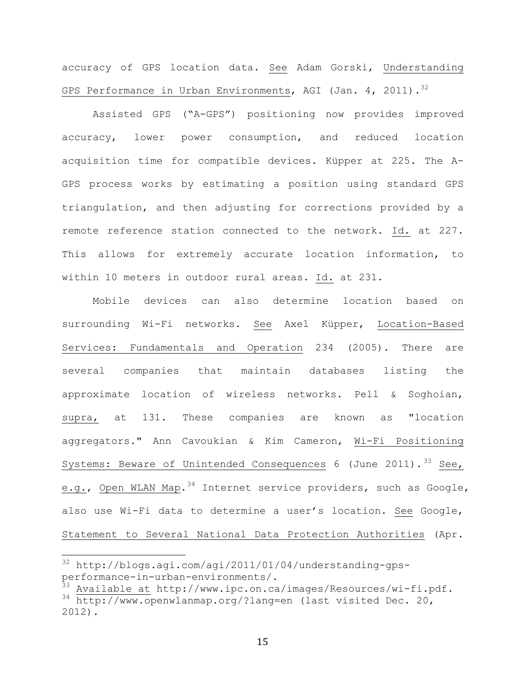accuracy of GPS location data. See Adam Gorski, Understanding GPS Performance in Urban Environments, AGI (Jan. 4, 2011).<sup>32</sup>

Assisted GPS ("A-GPS") positioning now provides improved accuracy, lower power consumption, and reduced location acquisition time for compatible devices. Küpper at 225. The A-GPS process works by estimating a position using standard GPS triangulation, and then adjusting for corrections provided by a remote reference station connected to the network. Id. at 227. This allows for extremely accurate location information, to within 10 meters in outdoor rural areas. Id. at 231.

Mobile devices can also determine location based on surrounding Wi-Fi networks. See Axel Küpper, Location-Based Services: Fundamentals and Operation 234 (2005). There are several companies that maintain databases listing the approximate location of wireless networks. Pell & Soghoian, supra, at 131. These companies are known as "location aggregators." Ann Cavoukian & Kim Cameron, Wi-Fi Positioning Systems: Beware of Unintended Consequences 6 (June 2011).  $33$  See, e.g., Open WLAN Map.  $34$  Internet service providers, such as Google, also use Wi-Fi data to determine a user's location. See Google, Statement to Several National Data Protection Authorities (Apr.

 $32$  http://blogs.agi.com/agi/2011/01/04/understanding-gpsperformance-in-urban-environments/.

Available at http://www.ipc.on.ca/images/Resources/wi-fi.pdf. 34 http://www.openwlanmap.org/?lang=en (last visited Dec. 20, 2012).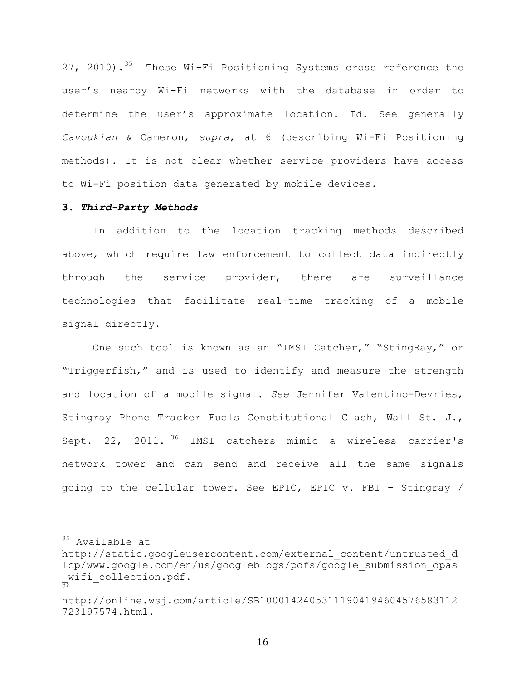27, 2010).<sup>35</sup> These Wi-Fi Positioning Systems cross reference the user's nearby Wi-Fi networks with the database in order to determine the user's approximate location. Id. See generally *Cavoukian* & Cameron, *supra*, at 6 (describing Wi-Fi Positioning methods). It is not clear whether service providers have access to Wi-Fi position data generated by mobile devices.

## **3.** *Third-Party Methods*

In addition to the location tracking methods described above, which require law enforcement to collect data indirectly through the service provider, there are surveillance technologies that facilitate real-time tracking of a mobile signal directly.

One such tool is known as an "IMSI Catcher," "StingRay," or "Triggerfish," and is used to identify and measure the strength and location of a mobile signal. *See* Jennifer Valentino-Devries, Stingray Phone Tracker Fuels Constitutional Clash, Wall St. J., Sept. 22, 2011.<sup>36</sup> IMSI catchers mimic a wireless carrier's network tower and can send and receive all the same signals going to the cellular tower. See EPIC, EPIC v. FBI – Stingray /

 $35$  Available at

http://static.googleusercontent.com/external\_content/untrusted\_d lcp/www.google.com/en/us/googleblogs/pdfs/google\_submission\_dpas wifi\_collection.pdf.<br>36

http://online.wsj.com/article/SB10001424053111904194604576583112 723197574.html.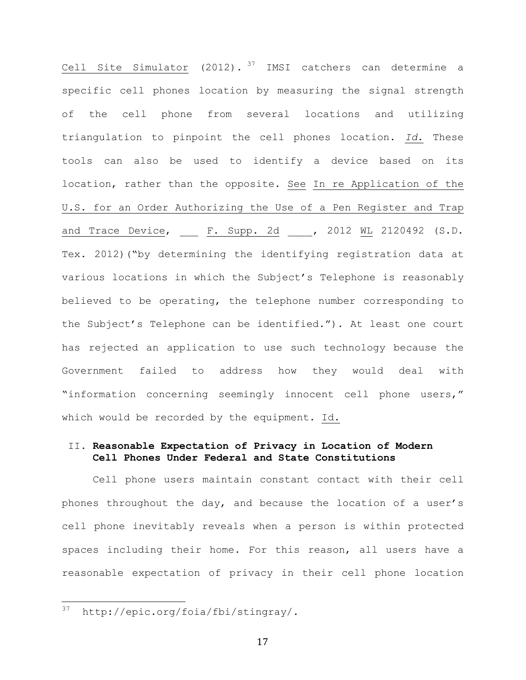Cell Site Simulator (2012).  $37$  IMSI catchers can determine a specific cell phones location by measuring the signal strength of the cell phone from several locations and utilizing triangulation to pinpoint the cell phones location. *Id*. These tools can also be used to identify a device based on its location, rather than the opposite. See In re Application of the U.S. for an Order Authorizing the Use of a Pen Register and Trap and Trace Device, \_\_\_ F. Supp. 2d \_\_\_, 2012 WL 2120492 (S.D. Tex. 2012)("by determining the identifying registration data at various locations in which the Subject's Telephone is reasonably believed to be operating, the telephone number corresponding to the Subject's Telephone can be identified."). At least one court has rejected an application to use such technology because the Government failed to address how they would deal with "information concerning seemingly innocent cell phone users," which would be recorded by the equipment. Id.

## II. **Reasonable Expectation of Privacy in Location of Modern Cell Phones Under Federal and State Constitutions**

Cell phone users maintain constant contact with their cell phones throughout the day, and because the location of a user's cell phone inevitably reveals when a person is within protected spaces including their home. For this reason, all users have a reasonable expectation of privacy in their cell phone location

<sup>37</sup> http://epic.org/foia/fbi/stingray/.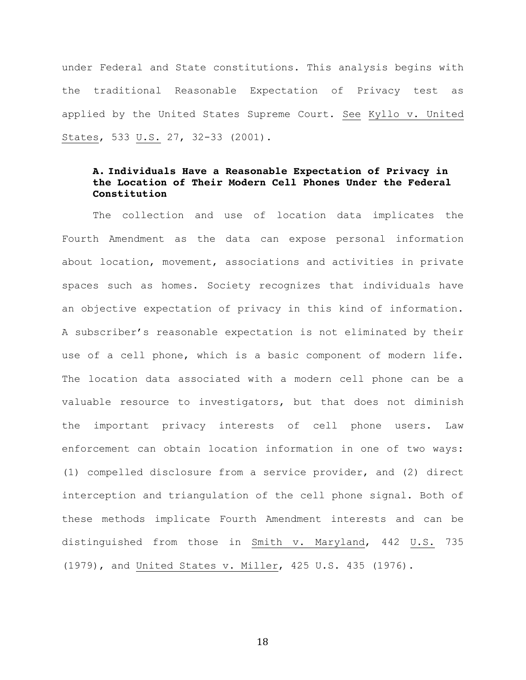under Federal and State constitutions. This analysis begins with the traditional Reasonable Expectation of Privacy test as applied by the United States Supreme Court. See Kyllo v. United States, 533 U.S. 27, 32-33 (2001).

# **A. Individuals Have a Reasonable Expectation of Privacy in the Location of Their Modern Cell Phones Under the Federal Constitution**

The collection and use of location data implicates the Fourth Amendment as the data can expose personal information about location, movement, associations and activities in private spaces such as homes. Society recognizes that individuals have an objective expectation of privacy in this kind of information. A subscriber's reasonable expectation is not eliminated by their use of a cell phone, which is a basic component of modern life. The location data associated with a modern cell phone can be a valuable resource to investigators, but that does not diminish the important privacy interests of cell phone users. Law enforcement can obtain location information in one of two ways: (1) compelled disclosure from a service provider, and (2) direct interception and triangulation of the cell phone signal. Both of these methods implicate Fourth Amendment interests and can be distinguished from those in Smith v. Maryland, 442 U.S. 735 (1979), and United States v. Miller, 425 U.S. 435 (1976).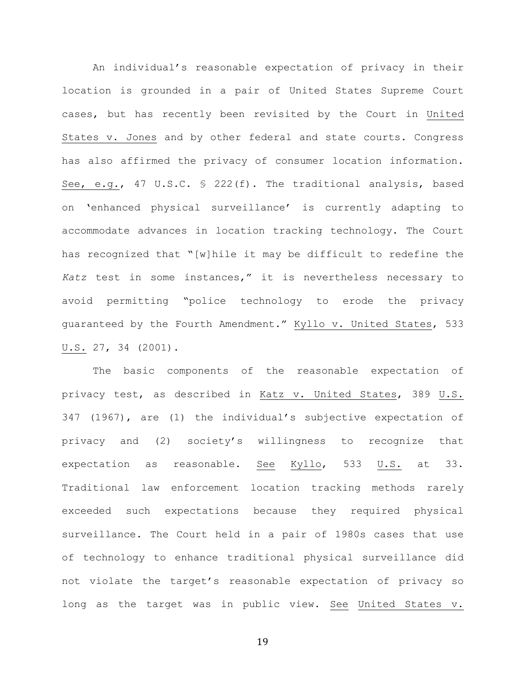An individual's reasonable expectation of privacy in their location is grounded in a pair of United States Supreme Court cases, but has recently been revisited by the Court in United States v. Jones and by other federal and state courts. Congress has also affirmed the privacy of consumer location information. See, e.g., 47 U.S.C. § 222(f). The traditional analysis, based on 'enhanced physical surveillance' is currently adapting to accommodate advances in location tracking technology. The Court has recognized that "[w]hile it may be difficult to redefine the *Katz* test in some instances," it is nevertheless necessary to avoid permitting "police technology to erode the privacy guaranteed by the Fourth Amendment." Kyllo v. United States, 533 U.S. 27, 34 (2001).

The basic components of the reasonable expectation of privacy test, as described in Katz v. United States, 389 U.S. 347 (1967), are (1) the individual's subjective expectation of privacy and (2) society's willingness to recognize that expectation as reasonable. See Kyllo, 533 U.S. at 33. Traditional law enforcement location tracking methods rarely exceeded such expectations because they required physical surveillance. The Court held in a pair of 1980s cases that use of technology to enhance traditional physical surveillance did not violate the target's reasonable expectation of privacy so long as the target was in public view. See United States v.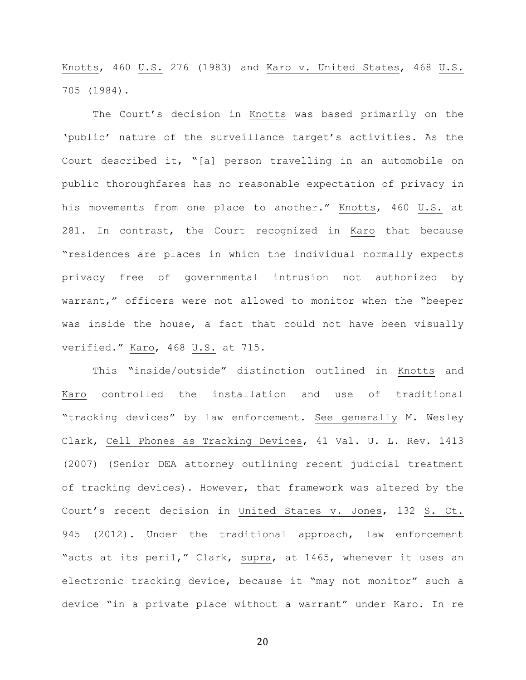Knotts, 460 U.S. 276 (1983) and Karo v. United States, 468 U.S. 705 (1984).

The Court's decision in Knotts was based primarily on the 'public' nature of the surveillance target's activities. As the Court described it, "[a] person travelling in an automobile on public thoroughfares has no reasonable expectation of privacy in his movements from one place to another." Knotts, 460 U.S. at 281. In contrast, the Court recognized in Karo that because "residences are places in which the individual normally expects privacy free of governmental intrusion not authorized by warrant," officers were not allowed to monitor when the "beeper was inside the house, a fact that could not have been visually verified." Karo, 468 U.S. at 715.

This "inside/outside" distinction outlined in Knotts and Karo controlled the installation and use of traditional "tracking devices" by law enforcement. See generally M. Wesley Clark, Cell Phones as Tracking Devices, 41 Val. U. L. Rev. 1413 (2007) (Senior DEA attorney outlining recent judicial treatment of tracking devices). However, that framework was altered by the Court's recent decision in United States v. Jones, 132 S. Ct. 945 (2012). Under the traditional approach, law enforcement "acts at its peril," Clark, supra, at 1465, whenever it uses an electronic tracking device, because it "may not monitor" such a device "in a private place without a warrant" under Karo. In re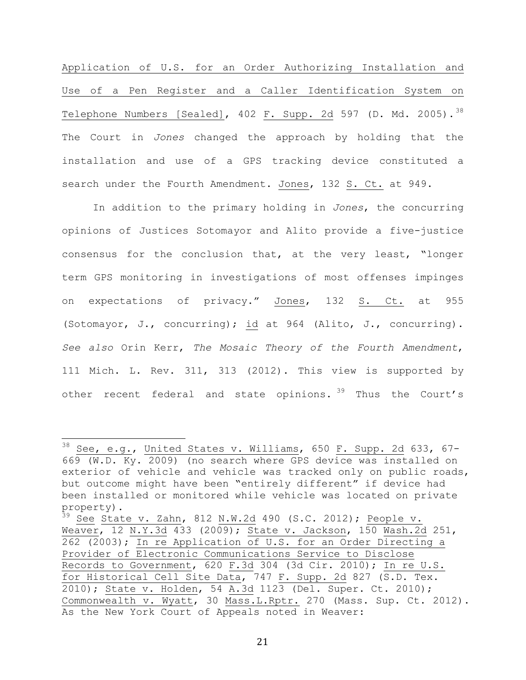Application of U.S. for an Order Authorizing Installation and Use of a Pen Register and a Caller Identification System on Telephone Numbers [Sealed],  $402$  F. Supp. 2d 597 (D. Md. 2005).<sup>38</sup> The Court in *Jones* changed the approach by holding that the installation and use of a GPS tracking device constituted a search under the Fourth Amendment. Jones, 132 S. Ct. at 949.

In addition to the primary holding in *Jones*, the concurring opinions of Justices Sotomayor and Alito provide a five-justice consensus for the conclusion that, at the very least, "longer term GPS monitoring in investigations of most offenses impinges on expectations of privacy." Jones, 132 S. Ct. at 955 (Sotomayor, J., concurring); id at 964 (Alito, J., concurring). *See also* Orin Kerr, *The Mosaic Theory of the Fourth Amendment*, 111 Mich. L. Rev. 311, 313 (2012). This view is supported by other recent federal and state opinions. <sup>39</sup> Thus the Court's

 $38$  See, e.g., United States v. Williams, 650 F. Supp. 2d 633, 67-669 (W.D. Ky. 2009) (no search where GPS device was installed on exterior of vehicle and vehicle was tracked only on public roads, but outcome might have been "entirely different" if device had been installed or monitored while vehicle was located on private property).

 $39$  See State v. Zahn, 812 N.W.2d 490 (S.C. 2012); People v. Weaver, 12 N.Y.3d 433 (2009); State v. Jackson, 150 Wash.2d 251, 262 (2003); In re Application of U.S. for an Order Directing a Provider of Electronic Communications Service to Disclose Records to Government, 620 F.3d 304 (3d Cir. 2010); In re U.S. for Historical Cell Site Data, 747 F. Supp. 2d 827 (S.D. Tex. 2010); State v. Holden, 54 A.3d 1123 (Del. Super. Ct. 2010); Commonwealth v. Wyatt, 30 Mass.L.Rptr. 270 (Mass. Sup. Ct. 2012). As the New York Court of Appeals noted in Weaver: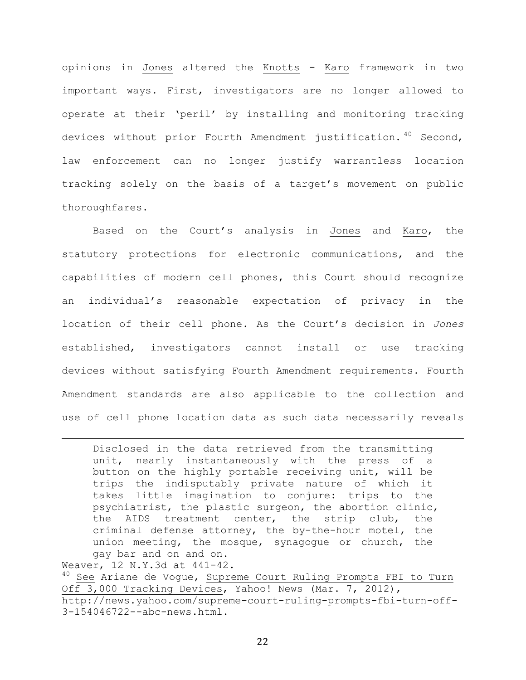opinions in Jones altered the Knotts - Karo framework in two important ways. First, investigators are no longer allowed to operate at their 'peril' by installing and monitoring tracking devices without prior Fourth Amendment justification. 40 Second, law enforcement can no longer justify warrantless location tracking solely on the basis of a target's movement on public thoroughfares.

Based on the Court's analysis in Jones and Karo, the statutory protections for electronic communications, and the capabilities of modern cell phones, this Court should recognize an individual's reasonable expectation of privacy in the location of their cell phone. As the Court's decision in *Jones* established, investigators cannot install or use tracking devices without satisfying Fourth Amendment requirements. Fourth Amendment standards are also applicable to the collection and use of cell phone location data as such data necessarily reveals

Disclosed in the data retrieved from the transmitting unit, nearly instantaneously with the press of a button on the highly portable receiving unit, will be trips the indisputably private nature of which it takes little imagination to conjure: trips to the psychiatrist, the plastic surgeon, the abortion clinic, the AIDS treatment center, the strip club, the criminal defense attorney, the by-the-hour motel, the union meeting, the mosque, synagogue or church, the gay bar and on and on.

!!!!!!!!!!!!!!!!!!!!!!!!!!!!!!!!!!!!!!!!!!!!!!!!!!!!!!!!!!!!!!!!!!!!!!!!!!!!!!!!!!!!!!!!!!!!!!!!!!!!!!!!!!!!!!!!!!!!!!!!!!!!!!!!!!!!!!!!!!!!!!!!!!!!!!!!!!!!!!!!!!!!!!!!!!!!!!!!!!

Weaver, 12 N.Y.3d at 441-42.<br><sup>40</sup> See Ariane de Voque, Supreme Court Ruling Prompts FBI to Turn Off 3,000 Tracking Devices, Yahoo! News (Mar. 7, 2012), http://news.yahoo.com/supreme-court-ruling-prompts-fbi-turn-off-3-154046722--abc-news.html.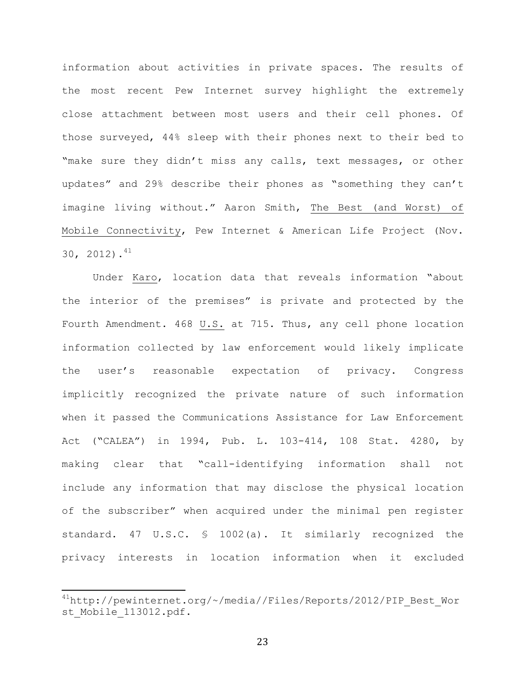information about activities in private spaces. The results of the most recent Pew Internet survey highlight the extremely close attachment between most users and their cell phones. Of those surveyed, 44% sleep with their phones next to their bed to "make sure they didn't miss any calls, text messages, or other updates" and 29% describe their phones as "something they can't imagine living without." Aaron Smith, The Best (and Worst) of Mobile Connectivity, Pew Internet & American Life Project (Nov. 30, 2012). $^{41}$ 

Under Karo, location data that reveals information "about the interior of the premises" is private and protected by the Fourth Amendment. 468 U.S. at 715. Thus, any cell phone location information collected by law enforcement would likely implicate the user's reasonable expectation of privacy. Congress implicitly recognized the private nature of such information when it passed the Communications Assistance for Law Enforcement Act ("CALEA") in 1994, Pub. L. 103-414, 108 Stat. 4280, by making clear that "call-identifying information shall not include any information that may disclose the physical location of the subscriber" when acquired under the minimal pen register standard. 47 U.S.C. § 1002(a). It similarly recognized the privacy interests in location information when it excluded

<sup>&</sup>lt;sup>41</sup>http://pewinternet.org/~/media//Files/Reports/2012/PIP\_Best\_Wor st Mobile 113012.pdf.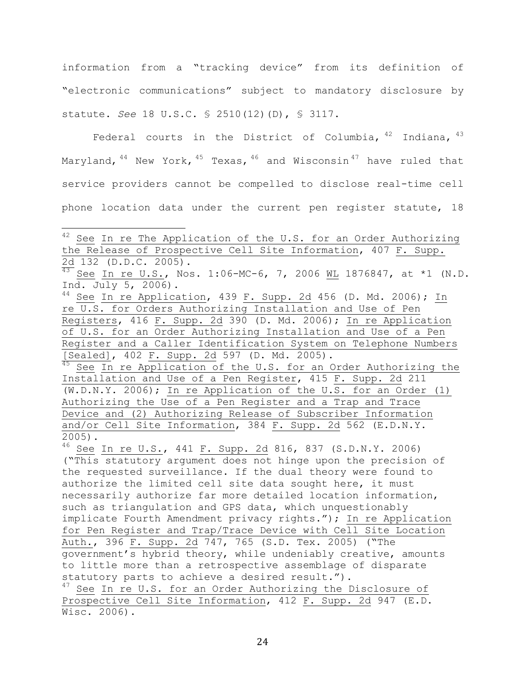information from a "tracking device" from its definition of "electronic communications" subject to mandatory disclosure by statute. *See* 18 U.S.C. § 2510(12)(D), § 3117.

Federal courts in the District of Columbia,  $42$  Indiana,  $43$ Marvland,  $44$  New York,  $45$  Texas,  $46$  and Wisconsin<sup>47</sup> have ruled that service providers cannot be compelled to disclose real-time cell phone location data under the current pen register statute, 18

("This statutory argument does not hinge upon the precision of the requested surveillance. If the dual theory were found to authorize the limited cell site data sought here, it must necessarily authorize far more detailed location information, such as triangulation and GPS data, which unquestionably implicate Fourth Amendment privacy rights."); In re Application for Pen Register and Trap/Trace Device with Cell Site Location Auth., 396 F. Supp. 2d 747, 765 (S.D. Tex. 2005) ("The government's hybrid theory, while undeniably creative, amounts to little more than a retrospective assemblage of disparate statutory parts to achieve a desired result.").  $47$  See In re U.S. for an Order Authorizing the Disclosure of Prospective Cell Site Information, 412 F. Supp. 2d 947 (E.D. Wisc. 2006).

<sup>&</sup>lt;sup>42</sup> See In re The Application of the U.S. for an Order Authorizing the Release of Prospective Cell Site Information, 407 F. Supp.

 $\frac{2d}{43}$  132 (D.D.C. 2005).<br><sup>43</sup> See In re <u>U.S.</u>, Nos. 1:06-MC-6, 7, 2006 <u>WL</u> 1876847, at \*1 (N.D.

Ind. July 5, 2006).<br><sup>44</sup> See In re Application, 439 F. Supp. 2<u>d</u> 456 (D. Md. 2006); <u>In</u> re U.S. for Orders Authorizing Installation and Use of Pen Registers, 416 F. Supp. 2d 390 (D. Md. 2006); In re Application of U.S. for an Order Authorizing Installation and Use of a Pen Register and a Caller Identification System on Telephone Numbers<br>[Sealed], 402 F. Supp. 2d 597 (D. Md. 2005).

<sup>&</sup>lt;sup>45</sup> See In re Application of the U.S. for an Order Authorizing the Installation and Use of a Pen Register, 415 F. Supp. 2d 211 (W.D.N.Y. 2006); In re Application of the U.S. for an Order (1) Authorizing the Use of a Pen Register and a Trap and Trace Device and (2) Authorizing Release of Subscriber Information and/or Cell Site Information, 384 F. Supp. 2d 562 (E.D.N.Y. 2005). <sup>46</sup> See In re U.S., 441 F. Supp. 2d 816, 837 (S.D.N.Y. 2006)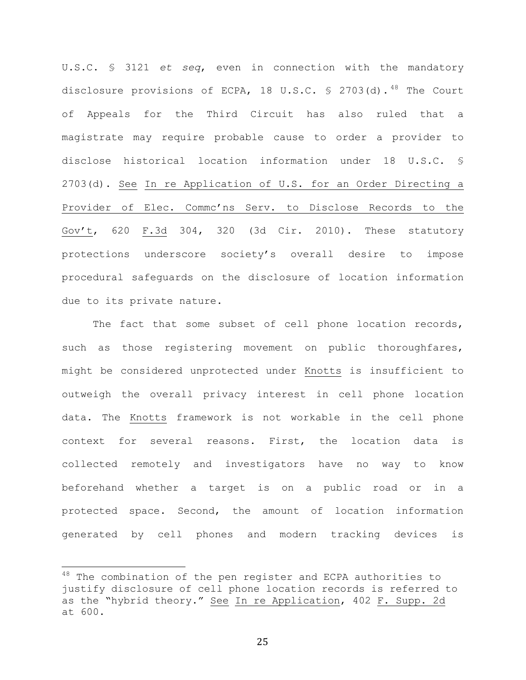U.S.C. § 3121 *et seq*, even in connection with the mandatory disclosure provisions of ECPA, 18 U.S.C. § 2703(d).<sup>48</sup> The Court of Appeals for the Third Circuit has also ruled that a magistrate may require probable cause to order a provider to disclose historical location information under 18 U.S.C. § 2703(d). See In re Application of U.S. for an Order Directing a Provider of Elec. Commc'ns Serv. to Disclose Records to the Gov't, 620 F.3d 304, 320 (3d Cir. 2010). These statutory protections underscore society's overall desire to impose procedural safeguards on the disclosure of location information due to its private nature.

The fact that some subset of cell phone location records, such as those registering movement on public thoroughfares, might be considered unprotected under Knotts is insufficient to outweigh the overall privacy interest in cell phone location data. The Knotts framework is not workable in the cell phone context for several reasons. First, the location data is collected remotely and investigators have no way to know beforehand whether a target is on a public road or in a protected space. Second, the amount of location information generated by cell phones and modern tracking devices is

 $18$  The combination of the pen register and ECPA authorities to justify disclosure of cell phone location records is referred to as the "hybrid theory." See In re Application, 402 F. Supp. 2d at 600.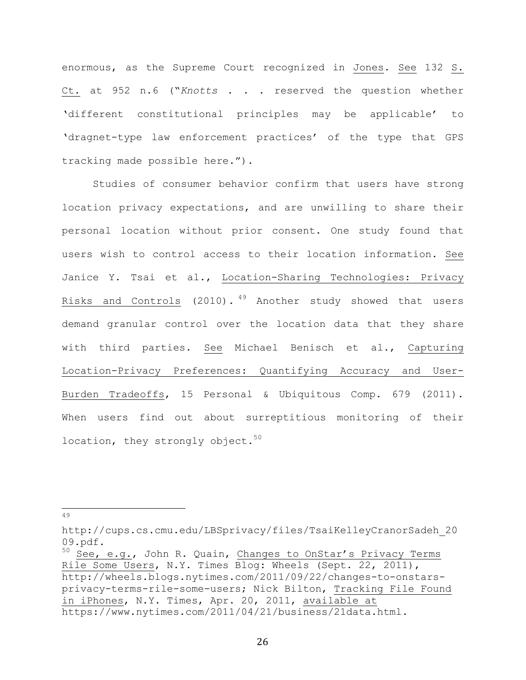enormous, as the Supreme Court recognized in Jones. See 132 S. Ct. at 952 n.6 ("*Knotts* . . . reserved the question whether 'different constitutional principles may be applicable' to 'dragnet-type law enforcement practices' of the type that GPS tracking made possible here.").

Studies of consumer behavior confirm that users have strong location privacy expectations, and are unwilling to share their personal location without prior consent. One study found that users wish to control access to their location information. See Janice Y. Tsai et al., Location-Sharing Technologies: Privacy Risks and Controls (2010)*.* <sup>49</sup> Another study showed that users demand granular control over the location data that they share with third parties. See Michael Benisch et al., Capturing Location-Privacy Preferences: Quantifying Accuracy and User-Burden Tradeoffs, 15 Personal & Ubiquitous Comp. 679 (2011). When users find out about surreptitious monitoring of their location, they strongly object. $50$ 

!!!!!!!!!!!!!!!!!!!!!!!!!!!!!!!!!!!!!!!!!!!!!!!!!!!!!!! <sup>49</sup>

http://cups.cs.cmu.edu/LBSprivacy/files/TsaiKelleyCranorSadeh\_20 09.pdf.

<sup>50</sup> See, e.g., John R. Quain, Changes to OnStar's Privacy Terms Rile Some Users, N.Y. Times Blog: Wheels (Sept. 22, 2011), http://wheels.blogs.nytimes.com/2011/09/22/changes-to-onstarsprivacy-terms-rile-some-users; Nick Bilton, Tracking File Found in iPhones, N.Y. Times, Apr. 20, 2011, available at https://www.nytimes.com/2011/04/21/business/21data.html.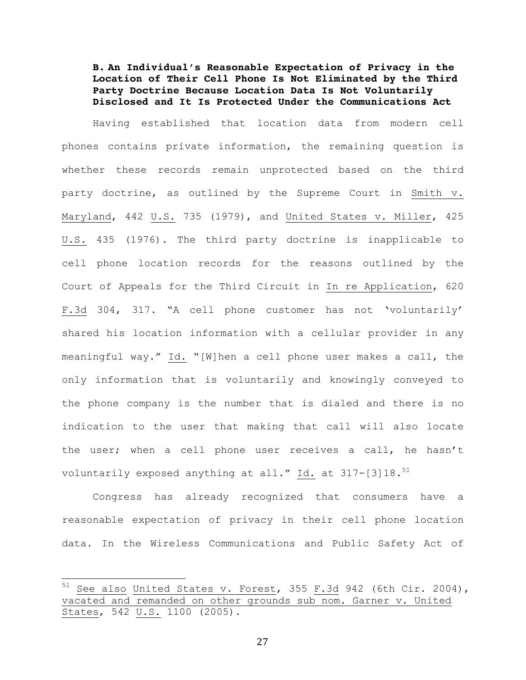**B. An Individual's Reasonable Expectation of Privacy in the Location of Their Cell Phone Is Not Eliminated by the Third Party Doctrine Because Location Data Is Not Voluntarily Disclosed and It Is Protected Under the Communications Act**

Having established that location data from modern cell phones contains private information, the remaining question is whether these records remain unprotected based on the third party doctrine, as outlined by the Supreme Court in Smith v. Maryland, 442 U.S. 735 (1979), and United States v. Miller, 425 U.S. 435 (1976). The third party doctrine is inapplicable to cell phone location records for the reasons outlined by the Court of Appeals for the Third Circuit in In re Application, 620 F.3d 304, 317. "A cell phone customer has not 'voluntarily' shared his location information with a cellular provider in any meaningful way." Id. "[W]hen a cell phone user makes a call, the only information that is voluntarily and knowingly conveyed to the phone company is the number that is dialed and there is no indication to the user that making that call will also locate the user; when a cell phone user receives a call, he hasn't voluntarily exposed anything at all." Id. at 317-[3]18.<sup>51</sup>

Congress has already recognized that consumers have a reasonable expectation of privacy in their cell phone location data. In the Wireless Communications and Public Safety Act of

 $51$  See also United States v. Forest, 355 F.3d 942 (6th Cir. 2004), vacated and remanded on other grounds sub nom. Garner v. United States, 542 U.S. 1100 (2005).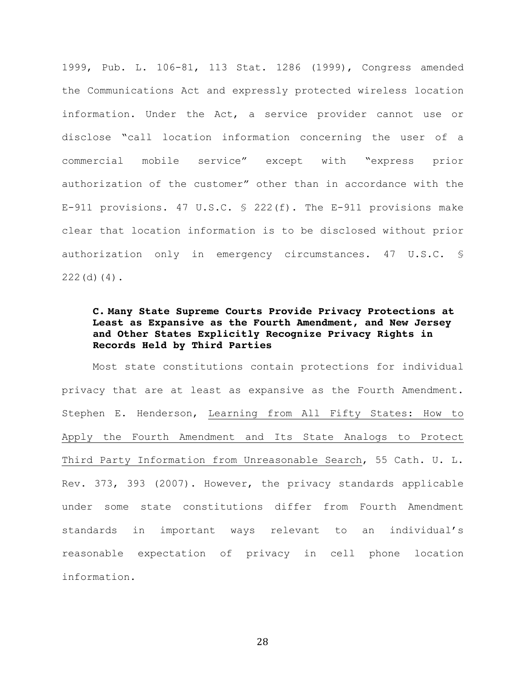1999, Pub. L. 106-81, 113 Stat. 1286 (1999), Congress amended the Communications Act and expressly protected wireless location information. Under the Act, a service provider cannot use or disclose "call location information concerning the user of a commercial mobile service" except with "express prior authorization of the customer" other than in accordance with the E-911 provisions. 47 U.S.C. § 222(f). The E-911 provisions make clear that location information is to be disclosed without prior authorization only in emergency circumstances. 47 U.S.C. § 222(d)(4).

# **C. Many State Supreme Courts Provide Privacy Protections at Least as Expansive as the Fourth Amendment, and New Jersey and Other States Explicitly Recognize Privacy Rights in Records Held by Third Parties**

Most state constitutions contain protections for individual privacy that are at least as expansive as the Fourth Amendment. Stephen E. Henderson, Learning from All Fifty States: How to Apply the Fourth Amendment and Its State Analogs to Protect Third Party Information from Unreasonable Search, 55 Cath. U. L. Rev. 373, 393 (2007). However, the privacy standards applicable under some state constitutions differ from Fourth Amendment standards in important ways relevant to an individual's reasonable expectation of privacy in cell phone location information.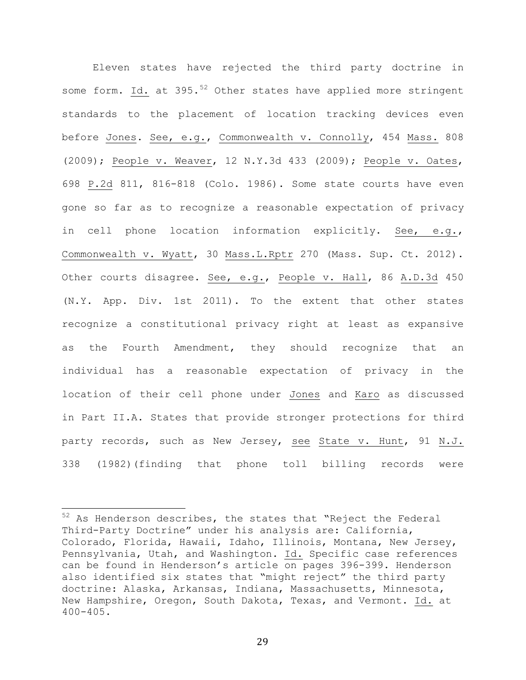Eleven states have rejected the third party doctrine in some form. Id. at  $395.^{52}$  Other states have applied more stringent standards to the placement of location tracking devices even before Jones. See, e.g., Commonwealth v. Connolly, 454 Mass. 808 (2009); People v. Weaver, 12 N.Y.3d 433 (2009); People v. Oates, 698 P.2d 811, 816-818 (Colo. 1986). Some state courts have even gone so far as to recognize a reasonable expectation of privacy in cell phone location information explicitly. See, e.g., Commonwealth v. Wyatt, 30 Mass.L.Rptr 270 (Mass. Sup. Ct. 2012). Other courts disagree. See, e.g., People v. Hall, 86 A.D.3d 450 (N.Y. App. Div. 1st 2011). To the extent that other states recognize a constitutional privacy right at least as expansive as the Fourth Amendment, they should recognize that an individual has a reasonable expectation of privacy in the location of their cell phone under Jones and Karo as discussed in Part II.A. States that provide stronger protections for third party records, such as New Jersey, see State v. Hunt, 91 N.J. 338 (1982)(finding that phone toll billing records were

 $52$  As Henderson describes, the states that "Reject the Federal Third-Party Doctrine" under his analysis are: California, Colorado, Florida, Hawaii, Idaho, Illinois, Montana, New Jersey, Pennsylvania, Utah, and Washington. Id. Specific case references can be found in Henderson's article on pages 396-399. Henderson also identified six states that "might reject" the third party doctrine: Alaska, Arkansas, Indiana, Massachusetts, Minnesota, New Hampshire, Oregon, South Dakota, Texas, and Vermont. Id. at 400-405.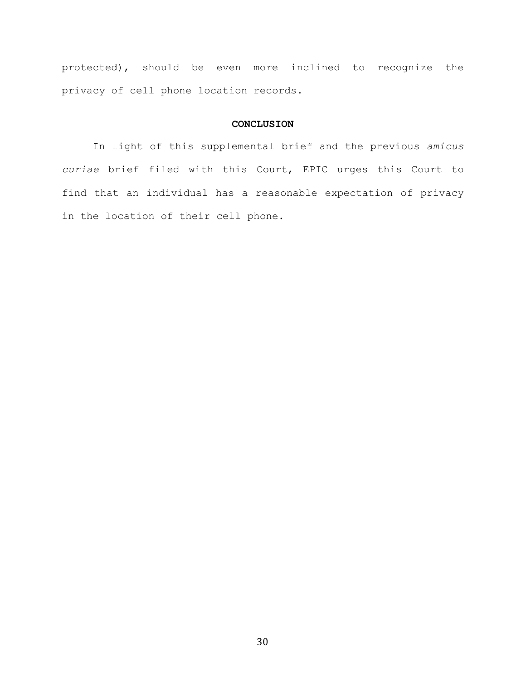protected), should be even more inclined to recognize the privacy of cell phone location records.

#### **CONCLUSION**

In light of this supplemental brief and the previous *amicus curiae* brief filed with this Court, EPIC urges this Court to find that an individual has a reasonable expectation of privacy in the location of their cell phone.